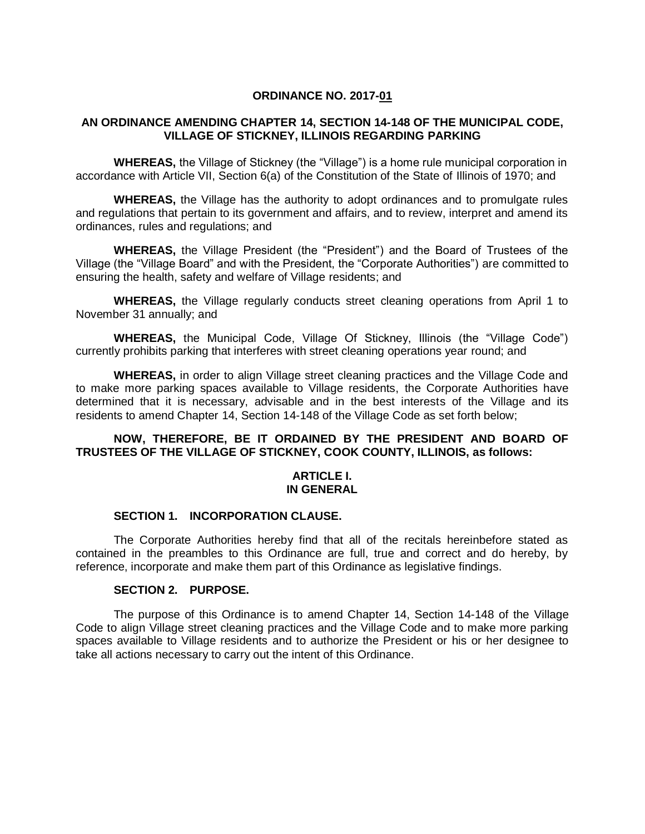### **ORDINANCE NO. 2017-01**

## **AN ORDINANCE AMENDING CHAPTER 14, SECTION 14-148 OF THE MUNICIPAL CODE, VILLAGE OF STICKNEY, ILLINOIS REGARDING PARKING**

**WHEREAS,** the Village of Stickney (the "Village") is a home rule municipal corporation in accordance with Article VII, Section 6(a) of the Constitution of the State of Illinois of 1970; and

**WHEREAS,** the Village has the authority to adopt ordinances and to promulgate rules and regulations that pertain to its government and affairs, and to review, interpret and amend its ordinances, rules and regulations; and

**WHEREAS,** the Village President (the "President") and the Board of Trustees of the Village (the "Village Board" and with the President, the "Corporate Authorities") are committed to ensuring the health, safety and welfare of Village residents; and

**WHEREAS,** the Village regularly conducts street cleaning operations from April 1 to November 31 annually; and

**WHEREAS,** the Municipal Code, Village Of Stickney, Illinois (the "Village Code") currently prohibits parking that interferes with street cleaning operations year round; and

**WHEREAS,** in order to align Village street cleaning practices and the Village Code and to make more parking spaces available to Village residents, the Corporate Authorities have determined that it is necessary, advisable and in the best interests of the Village and its residents to amend Chapter 14, Section 14-148 of the Village Code as set forth below;

### **NOW, THEREFORE, BE IT ORDAINED BY THE PRESIDENT AND BOARD OF TRUSTEES OF THE VILLAGE OF STICKNEY, COOK COUNTY, ILLINOIS, as follows:**

#### **ARTICLE I. IN GENERAL**

#### **SECTION 1. INCORPORATION CLAUSE.**

The Corporate Authorities hereby find that all of the recitals hereinbefore stated as contained in the preambles to this Ordinance are full, true and correct and do hereby, by reference, incorporate and make them part of this Ordinance as legislative findings.

### **SECTION 2. PURPOSE.**

The purpose of this Ordinance is to amend Chapter 14, Section 14-148 of the Village Code to align Village street cleaning practices and the Village Code and to make more parking spaces available to Village residents and to authorize the President or his or her designee to take all actions necessary to carry out the intent of this Ordinance.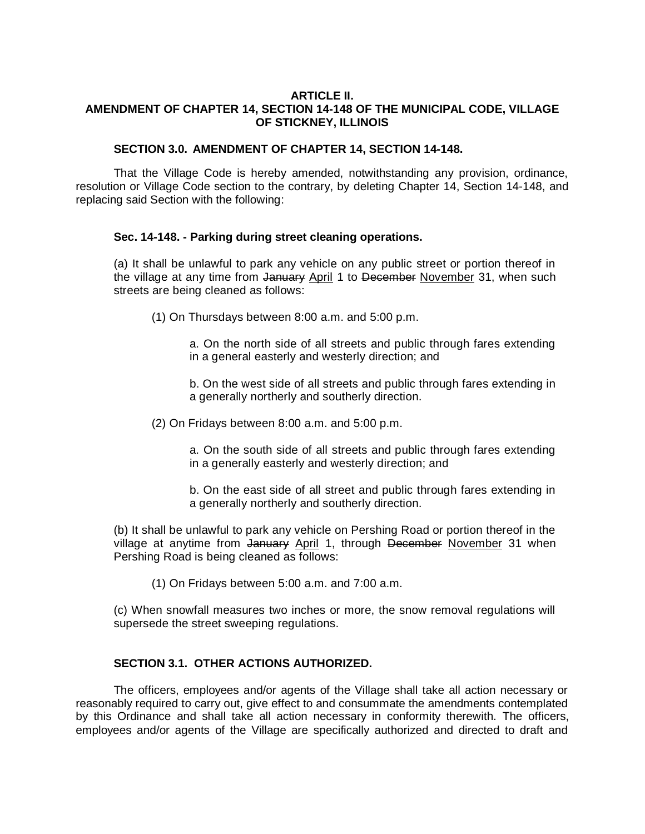### **ARTICLE II. AMENDMENT OF CHAPTER 14, SECTION 14-148 OF THE MUNICIPAL CODE, VILLAGE OF STICKNEY, ILLINOIS**

### **SECTION 3.0. AMENDMENT OF CHAPTER 14, SECTION 14-148.**

That the Village Code is hereby amended, notwithstanding any provision, ordinance, resolution or Village Code section to the contrary, by deleting Chapter 14, Section 14-148, and replacing said Section with the following:

## **Sec. 14-148. - Parking during street cleaning operations.**

(a) It shall be unlawful to park any vehicle on any public street or portion thereof in the village at any time from January April 1 to December November 31, when such streets are being cleaned as follows:

(1) On Thursdays between 8:00 a.m. and 5:00 p.m.

a. On the north side of all streets and public through fares extending in a general easterly and westerly direction; and

b. On the west side of all streets and public through fares extending in a generally northerly and southerly direction.

(2) On Fridays between 8:00 a.m. and 5:00 p.m.

a. On the south side of all streets and public through fares extending in a generally easterly and westerly direction; and

b. On the east side of all street and public through fares extending in a generally northerly and southerly direction.

(b) It shall be unlawful to park any vehicle on Pershing Road or portion thereof in the village at anytime from January April 1, through December November 31 when Pershing Road is being cleaned as follows:

(1) On Fridays between 5:00 a.m. and 7:00 a.m.

(c) When snowfall measures two inches or more, the snow removal regulations will supersede the street sweeping regulations.

# **SECTION 3.1. OTHER ACTIONS AUTHORIZED.**

The officers, employees and/or agents of the Village shall take all action necessary or reasonably required to carry out, give effect to and consummate the amendments contemplated by this Ordinance and shall take all action necessary in conformity therewith. The officers, employees and/or agents of the Village are specifically authorized and directed to draft and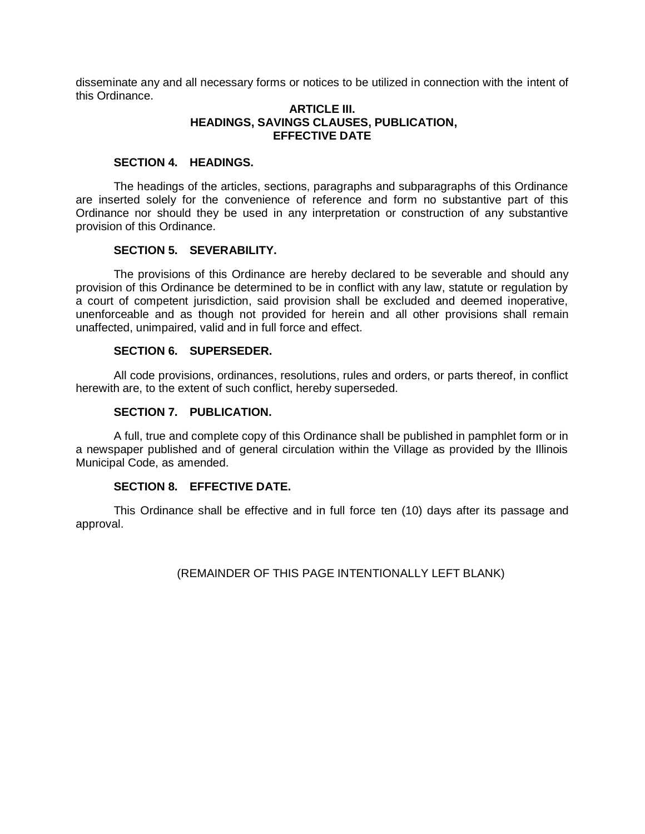disseminate any and all necessary forms or notices to be utilized in connection with the intent of this Ordinance.

### **ARTICLE III. HEADINGS, SAVINGS CLAUSES, PUBLICATION, EFFECTIVE DATE**

### **SECTION 4. HEADINGS.**

The headings of the articles, sections, paragraphs and subparagraphs of this Ordinance are inserted solely for the convenience of reference and form no substantive part of this Ordinance nor should they be used in any interpretation or construction of any substantive provision of this Ordinance.

## **SECTION 5. SEVERABILITY.**

The provisions of this Ordinance are hereby declared to be severable and should any provision of this Ordinance be determined to be in conflict with any law, statute or regulation by a court of competent jurisdiction, said provision shall be excluded and deemed inoperative, unenforceable and as though not provided for herein and all other provisions shall remain unaffected, unimpaired, valid and in full force and effect.

### **SECTION 6. SUPERSEDER.**

All code provisions, ordinances, resolutions, rules and orders, or parts thereof, in conflict herewith are, to the extent of such conflict, hereby superseded.

### **SECTION 7. PUBLICATION.**

A full, true and complete copy of this Ordinance shall be published in pamphlet form or in a newspaper published and of general circulation within the Village as provided by the Illinois Municipal Code, as amended.

# **SECTION 8. EFFECTIVE DATE.**

This Ordinance shall be effective and in full force ten (10) days after its passage and approval.

(REMAINDER OF THIS PAGE INTENTIONALLY LEFT BLANK)